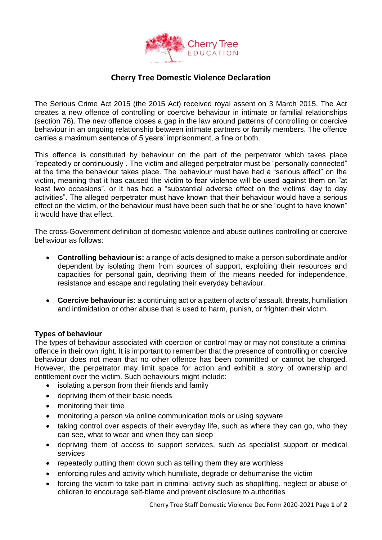

## **Cherry Tree Domestic Violence Declaration**

The Serious Crime Act 2015 (the 2015 Act) received royal assent on 3 March 2015. The Act creates a new offence of controlling or coercive behaviour in intimate or familial relationships (section 76). The new offence closes a gap in the law around patterns of controlling or coercive behaviour in an ongoing relationship between intimate partners or family members. The offence carries a maximum sentence of 5 years' imprisonment, a fine or both.

This offence is constituted by behaviour on the part of the perpetrator which takes place "repeatedly or continuously". The victim and alleged perpetrator must be "personally connected" at the time the behaviour takes place. The behaviour must have had a "serious effect" on the victim, meaning that it has caused the victim to fear violence will be used against them on "at least two occasions", or it has had a "substantial adverse effect on the victims' day to day activities". The alleged perpetrator must have known that their behaviour would have a serious effect on the victim, or the behaviour must have been such that he or she "ought to have known" it would have that effect.

The cross-Government definition of domestic violence and abuse outlines controlling or coercive behaviour as follows:

- **Controlling behaviour is:** a range of acts designed to make a person subordinate and/or dependent by isolating them from sources of support, exploiting their resources and capacities for personal gain, depriving them of the means needed for independence, resistance and escape and regulating their everyday behaviour.
- **Coercive behaviour is:** a continuing act or a pattern of acts of assault, threats, humiliation and intimidation or other abuse that is used to harm, punish, or frighten their victim.

## **Types of behaviour**

The types of behaviour associated with coercion or control may or may not constitute a criminal offence in their own right. It is important to remember that the presence of controlling or coercive behaviour does not mean that no other offence has been committed or cannot be charged. However, the perpetrator may limit space for action and exhibit a story of ownership and entitlement over the victim. Such behaviours might include:

- isolating a person from their friends and family
- depriving them of their basic needs
- monitoring their time
- monitoring a person via online communication tools or using spyware
- taking control over aspects of their everyday life, such as where they can go, who they can see, what to wear and when they can sleep
- depriving them of access to support services, such as specialist support or medical services
- repeatedly putting them down such as telling them they are worthless
- enforcing rules and activity which humiliate, degrade or dehumanise the victim
- forcing the victim to take part in criminal activity such as shoplifting, neglect or abuse of children to encourage self-blame and prevent disclosure to authorities